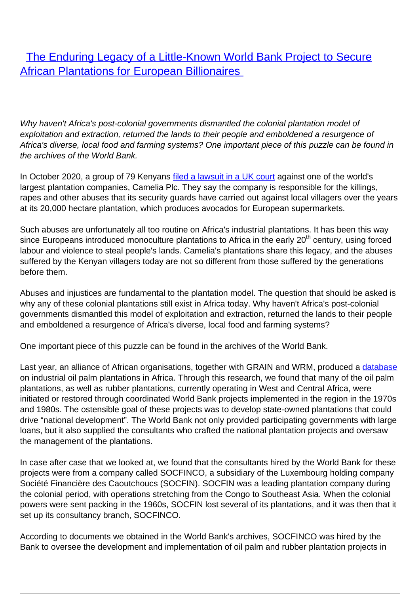**[The Enduring Legacy of a Little-Known World Bank Project to Secure](/bulletin-articles/the-enduring-legacy-of-a-little-known-world-bank-project-to-secure-african-plantations-for-european) [African Plantations for European Billionaires](/bulletin-articles/the-enduring-legacy-of-a-little-known-world-bank-project-to-secure-african-plantations-for-european)** 

Why haven't Africa's post-colonial governments dismantled the colonial plantation model of exploitation and extraction, returned the lands to their people and emboldened a resurgence of Africa's diverse, local food and farming systems? One important piece of this puzzle can be found in the archives of the World Bank.

In October 2020, a group of 79 Kenyans [filed a lawsuit in a UK court](https://wrm.us9.list-manage.com/track/click?u=f91b651f7fecdf835b57dc11d&id=4d97e6fa73&e=d8e27bd4ab) against one of the world's largest plantation companies, Camelia Plc. They say the company is responsible for the killings, rapes and other abuses that its security guards have carried out against local villagers over the years at its 20,000 hectare plantation, which produces avocados for European supermarkets.

Such abuses are unfortunately all too routine on Africa's industrial plantations. It has been this way since Europeans introduced monoculture plantations to Africa in the early 20<sup>th</sup> century, using forced labour and violence to steal people's lands. Camelia's plantations share this legacy, and the abuses suffered by the Kenyan villagers today are not so different from those suffered by the generations before them.

Abuses and injustices are fundamental to the plantation model. The question that should be asked is why any of these colonial plantations still exist in Africa today. Why haven't Africa's post-colonial governments dismantled this model of exploitation and extraction, returned the lands to their people and emboldened a resurgence of Africa's diverse, local food and farming systems?

One important piece of this puzzle can be found in the archives of the World Bank.

Last year, an alliance of African organisations, together with GRAIN and WRM, produced a [database](https://wrm.us9.list-manage.com/track/click?u=f91b651f7fecdf835b57dc11d&id=25816dea25&e=d8e27bd4ab) on industrial oil palm plantations in Africa. Through this research, we found that many of the oil palm plantations, as well as rubber plantations, currently operating in West and Central Africa, were initiated or restored through coordinated World Bank projects implemented in the region in the 1970s and 1980s. The ostensible goal of these projects was to develop state-owned plantations that could drive "national development". The World Bank not only provided participating governments with large loans, but it also supplied the consultants who crafted the national plantation projects and oversaw the management of the plantations.

In case after case that we looked at, we found that the consultants hired by the World Bank for these projects were from a company called SOCFINCO, a subsidiary of the Luxembourg holding company Société Financière des Caoutchoucs (SOCFIN). SOCFIN was a leading plantation company during the colonial period, with operations stretching from the Congo to Southeast Asia. When the colonial powers were sent packing in the 1960s, SOCFIN lost several of its plantations, and it was then that it set up its consultancy branch, SOCFINCO.

According to documents we obtained in the World Bank's archives, SOCFINCO was hired by the Bank to oversee the development and implementation of oil palm and rubber plantation projects in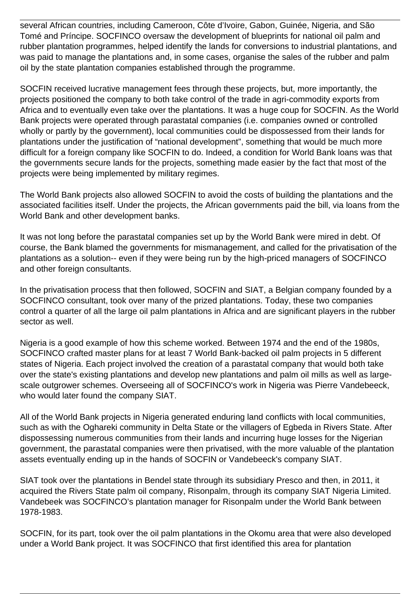several African countries, including Cameroon, Côte d'Ivoire, Gabon, Guinée, Nigeria, and São Tomé and Príncipe. SOCFINCO oversaw the development of blueprints for national oil palm and rubber plantation programmes, helped identify the lands for conversions to industrial plantations, and was paid to manage the plantations and, in some cases, organise the sales of the rubber and palm oil by the state plantation companies established through the programme.

SOCFIN received lucrative management fees through these projects, but, more importantly, the projects positioned the company to both take control of the trade in agri-commodity exports from Africa and to eventually even take over the plantations. It was a huge coup for SOCFIN. As the World Bank projects were operated through parastatal companies (i.e. companies owned or controlled wholly or partly by the government), local communities could be dispossessed from their lands for plantations under the justification of "national development", something that would be much more difficult for a foreign company like SOCFIN to do. Indeed, a condition for World Bank loans was that the governments secure lands for the projects, something made easier by the fact that most of the projects were being implemented by military regimes.

The World Bank projects also allowed SOCFIN to avoid the costs of building the plantations and the associated facilities itself. Under the projects, the African governments paid the bill, via loans from the World Bank and other development banks.

It was not long before the parastatal companies set up by the World Bank were mired in debt. Of course, the Bank blamed the governments for mismanagement, and called for the privatisation of the plantations as a solution-- even if they were being run by the high-priced managers of SOCFINCO and other foreign consultants.

In the privatisation process that then followed, SOCFIN and SIAT, a Belgian company founded by a SOCFINCO consultant, took over many of the prized plantations. Today, these two companies control a quarter of all the large oil palm plantations in Africa and are significant players in the rubber sector as well.

Nigeria is a good example of how this scheme worked. Between 1974 and the end of the 1980s, SOCFINCO crafted master plans for at least 7 World Bank-backed oil palm projects in 5 different states of Nigeria. Each project involved the creation of a parastatal company that would both take over the state's existing plantations and develop new plantations and palm oil mills as well as largescale outgrower schemes. Overseeing all of SOCFINCO's work in Nigeria was Pierre Vandebeeck, who would later found the company SIAT.

All of the World Bank projects in Nigeria generated enduring land conflicts with local communities, such as with the Oghareki community in Delta State or the villagers of Egbeda in Rivers State. After dispossessing numerous communities from their lands and incurring huge losses for the Nigerian government, the parastatal companies were then privatised, with the more valuable of the plantation assets eventually ending up in the hands of SOCFIN or Vandebeeck's company SIAT.

SIAT took over the plantations in Bendel state through its subsidiary Presco and then, in 2011, it acquired the Rivers State palm oil company, Risonpalm, through its company SIAT Nigeria Limited. Vandebeek was SOCFINCO's plantation manager for Risonpalm under the World Bank between 1978-1983.

SOCFIN, for its part, took over the oil palm plantations in the Okomu area that were also developed under a World Bank project. It was SOCFINCO that first identified this area for plantation